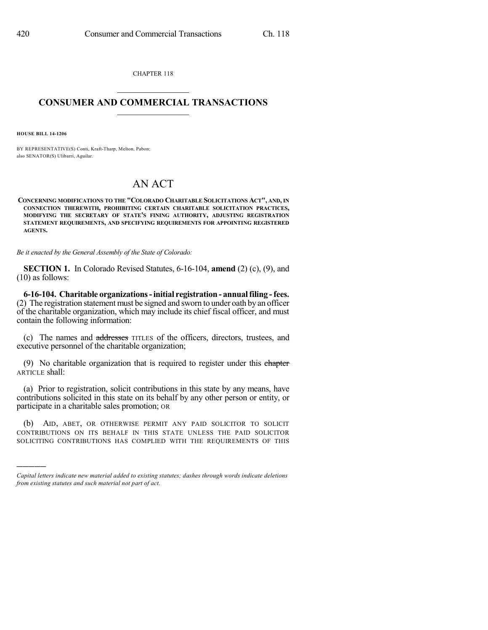CHAPTER 118  $\overline{\phantom{a}}$  . The set of the set of the set of the set of the set of the set of the set of the set of the set of the set of the set of the set of the set of the set of the set of the set of the set of the set of the set o

## **CONSUMER AND COMMERCIAL TRANSACTIONS**  $\frac{1}{\sqrt{2}}$  ,  $\frac{1}{\sqrt{2}}$  ,  $\frac{1}{\sqrt{2}}$  ,  $\frac{1}{\sqrt{2}}$  ,  $\frac{1}{\sqrt{2}}$

**HOUSE BILL 14-1206**

)))))

BY REPRESENTATIVE(S) Conti, Kraft-Tharp, Melton, Pabon; also SENATOR(S) Ulibarri, Aguilar.

## AN ACT

**CONCERNING MODIFICATIONS TO THE "COLORADO CHARITABLE SOLICITATIONS ACT", AND, IN CONNECTION THEREWITH, PROHIBITING CERTAIN CHARITABLE SOLICITATION PRACTICES, MODIFYING THE SECRETARY OF STATE'S FINING AUTHORITY, ADJUSTING REGISTRATION STATEMENT REQUIREMENTS, AND SPECIFYING REQUIREMENTS FOR APPOINTING REGISTERED AGENTS.**

*Be it enacted by the General Assembly of the State of Colorado:*

**SECTION 1.** In Colorado Revised Statutes, 6-16-104, **amend** (2) (c), (9), and (10) as follows:

**6-16-104. Charitable organizations-initial registration - annualfiling -fees.** (2) The registration statement must be signed and sworn to under oath by an officer of the charitable organization, which may include its chief fiscal officer, and must contain the following information:

(c) The names and addresses TITLES of the officers, directors, trustees, and executive personnel of the charitable organization;

(9) No charitable organization that is required to register under this ehapter ARTICLE shall:

(a) Prior to registration, solicit contributions in this state by any means, have contributions solicited in this state on its behalf by any other person or entity, or participate in a charitable sales promotion; OR

(b) AID, ABET, OR OTHERWISE PERMIT ANY PAID SOLICITOR TO SOLICIT CONTRIBUTIONS ON ITS BEHALF IN THIS STATE UNLESS THE PAID SOLICITOR SOLICITING CONTRIBUTIONS HAS COMPLIED WITH THE REQUIREMENTS OF THIS

*Capital letters indicate new material added to existing statutes; dashes through words indicate deletions from existing statutes and such material not part of act.*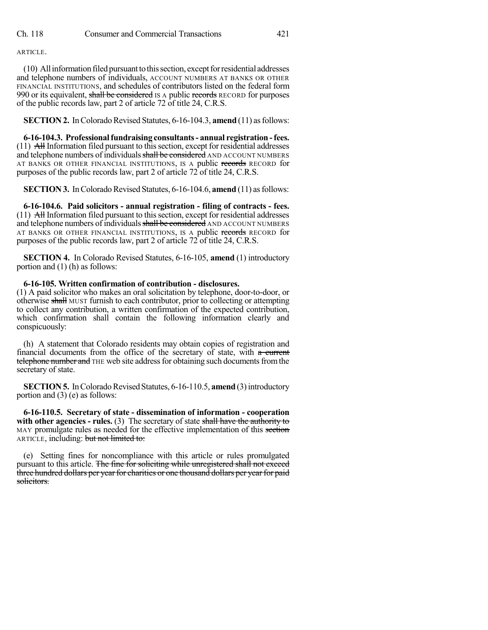ARTICLE.

(10) Allinformationfiledpursuanttothissection, exceptforresidential addresses and telephone numbers of individuals, ACCOUNT NUMBERS AT BANKS OR OTHER FINANCIAL INSTITUTIONS, and schedules of contributors listed on the federal form 990 or its equivalent, shall be considered IS A public records RECORD for purposes of the public records law, part 2 of article 72 of title 24, C.R.S.

**SECTION 2.** In Colorado Revised Statutes, 6-16-104.3, **amend** (11) as follows:

**6-16-104.3. Professionalfundraising consultants- annual registration -fees.**  $(11)$  All Information filed pursuant to this section, except for residential addresses and telephone numbers of individuals shall be considered AND ACCOUNT NUMBERS AT BANKS OR OTHER FINANCIAL INSTITUTIONS, IS A public records RECORD for purposes of the public records law, part 2 of article 72 of title 24, C.R.S.

**SECTION 3.** In Colorado Revised Statutes, 6-16-104.6, **amend** (11) as follows:

**6-16-104.6. Paid solicitors - annual registration - filing of contracts - fees.**  $(11)$  All Information filed pursuant to this section, except for residential addresses and telephone numbers of individuals shall be considered AND ACCOUNT NUMBERS AT BANKS OR OTHER FINANCIAL INSTITUTIONS, IS A public records RECORD for purposes of the public records law, part 2 of article 72 of title 24, C.R.S.

**SECTION 4.** In Colorado Revised Statutes, 6-16-105, **amend** (1) introductory portion and (1) (h) as follows:

## **6-16-105. Written confirmation of contribution - disclosures.**

(1) A paid solicitor who makes an oral solicitation by telephone, door-to-door, or otherwise shall MUST furnish to each contributor, prior to collecting or attempting to collect any contribution, a written confirmation of the expected contribution, which confirmation shall contain the following information clearly and conspicuously:

(h) A statement that Colorado residents may obtain copies of registration and financial documents from the office of the secretary of state, with a current telephone number and THE web site address for obtaining such documents from the secretary of state.

**SECTION 5.** In Colorado Revised Statutes, 6-16-110.5, **amend** (3) introductory portion and (3) (e) as follows:

**6-16-110.5. Secretary of state - dissemination of information - cooperation with other agencies - rules.** (3) The secretary of state shall have the authority to MAY promulgate rules as needed for the effective implementation of this section ARTICLE, including: but not limited to:

(e) Setting fines for noncompliance with this article or rules promulgated pursuant to this article. The fine for soliciting while unregistered shall not exceed three hundred dollars per year for charities or one thousand dollars per year for paid solicitors.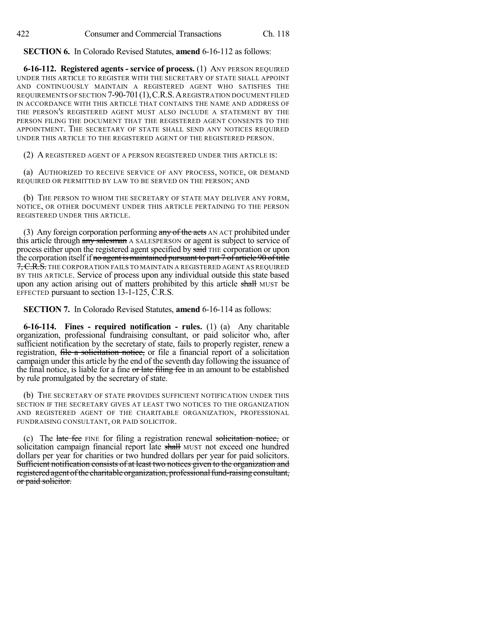**SECTION 6.** In Colorado Revised Statutes, **amend** 6-16-112 as follows:

**6-16-112. Registered agents - service of process.** (1) ANY PERSON REQUIRED UNDER THIS ARTICLE TO REGISTER WITH THE SECRETARY OF STATE SHALL APPOINT AND CONTINUOUSLY MAINTAIN A REGISTERED AGENT WHO SATISFIES THE REQUIREMENTS OF SECTION 7-90-701(1),C.R.S.AREGISTRATION DOCUMENT FILED IN ACCORDANCE WITH THIS ARTICLE THAT CONTAINS THE NAME AND ADDRESS OF THE PERSON'S REGISTERED AGENT MUST ALSO INCLUDE A STATEMENT BY THE PERSON FILING THE DOCUMENT THAT THE REGISTERED AGENT CONSENTS TO THE APPOINTMENT. THE SECRETARY OF STATE SHALL SEND ANY NOTICES REQUIRED UNDER THIS ARTICLE TO THE REGISTERED AGENT OF THE REGISTERED PERSON.

(2) A REGISTERED AGENT OF A PERSON REGISTERED UNDER THIS ARTICLE IS:

(a) AUTHORIZED TO RECEIVE SERVICE OF ANY PROCESS, NOTICE, OR DEMAND REQUIRED OR PERMITTED BY LAW TO BE SERVED ON THE PERSON; AND

(b) THE PERSON TO WHOM THE SECRETARY OF STATE MAY DELIVER ANY FORM, NOTICE, OR OTHER DOCUMENT UNDER THIS ARTICLE PERTAINING TO THE PERSON REGISTERED UNDER THIS ARTICLE.

(3) Any foreign corporation performing  $\frac{any \text{ of the acts}}{any \text{ of the acts}}$  AN ACT prohibited under this article through any salesman A SALESPERSON or agent is subject to service of process either upon the registered agent specified by said THE corporation or upon the corporation itself if no agent is maintained pursuant to part  $7$  of article 90 of title 7, C.R.S. THE CORPORATION FAILS TO MAINTAIN A REGISTERED AGENT AS REQUIRED BY THIS ARTICLE. Service of process upon any individual outside this state based upon any action arising out of matters prohibited by this article shall MUST be EFFECTED pursuant to section 13-1-125, C.R.S.

**SECTION 7.** In Colorado Revised Statutes, **amend** 6-16-114 as follows:

**6-16-114. Fines - required notification - rules.** (1) (a) Any charitable organization, professional fundraising consultant, or paid solicitor who, after sufficient notification by the secretary of state, fails to properly register, renew a registration, file a solicitation notice, or file a financial report of a solicitation campaign under this article by the end of the seventh day following the issuance of the final notice, is liable for a fine or late filing fee in an amount to be established by rule promulgated by the secretary of state.

(b) THE SECRETARY OF STATE PROVIDES SUFFICIENT NOTIFICATION UNDER THIS SECTION IF THE SECRETARY GIVES AT LEAST TWO NOTICES TO THE ORGANIZATION AND REGISTERED AGENT OF THE CHARITABLE ORGANIZATION, PROFESSIONAL FUNDRAISING CONSULTANT, OR PAID SOLICITOR.

(c) The late fee FINE for filing a registration renewal solicitation notice, or solicitation campaign financial report late shall MUST not exceed one hundred dollars per year for charities or two hundred dollars per year for paid solicitors. Sufficient notification consists of at least two notices given to the organization and registered agent of the charitable organization, professional fund-raising consultant, or paid solicitor.